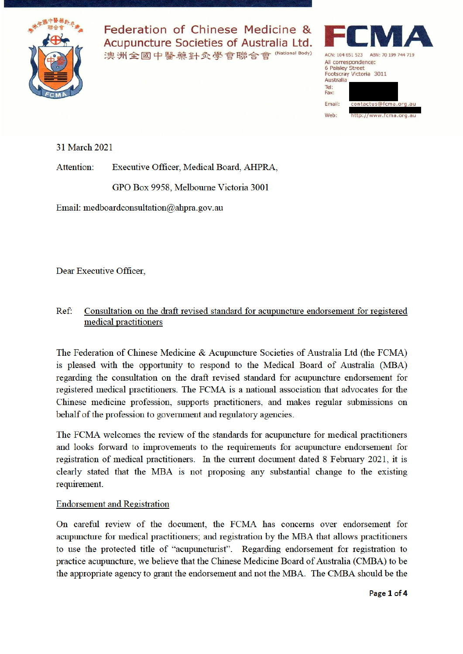

Federation of Chinese Medicine & Acupuncture Societies of Australia Ltd. 澳洲全國中醫藥針灸學會聯合會 (National Body)



31 March 2021

Attention: Executive Officer, Medical Board, AHPRA,

GPO Box 9958, Melbourne Victoria 3001

Email: medboardconsultation@ahpra.gov.au

Dear Executive Officer.

### Consultation on the draft revised standard for acupuncture endorsement for registered  $Ref:$ medical practitioners

The Federation of Chinese Medicine & Acupuncture Societies of Australia Ltd (the FCMA) is pleased with the opportunity to respond to the Medical Board of Australia (MBA) regarding the consultation on the draft revised standard for acupuncture endorsement for registered medical practitioners. The FCMA is a national association that advocates for the Chinese medicine profession, supports practitioners, and makes regular submissions on behalf of the profession to government and regulatory agencies.

The FCMA welcomes the review of the standards for acupuncture for medical practitioners and looks forward to improvements to the requirements for acupuncture endorsement for registration of medical practitioners. In the current document dated 8 February 2021, it is clearly stated that the MBA is not proposing any substantial change to the existing requirement.

# **Endorsement and Registration**

On careful review of the document, the FCMA has concerns over endorsement for acupuncture for medical practitioners; and registration by the MBA that allows practitioners to use the protected title of "acupuncturist". Regarding endorsement for registration to practice acupuncture, we believe that the Chinese Medicine Board of Australia (CMBA) to be the appropriate agency to grant the endorsement and not the MBA. The CMBA should be the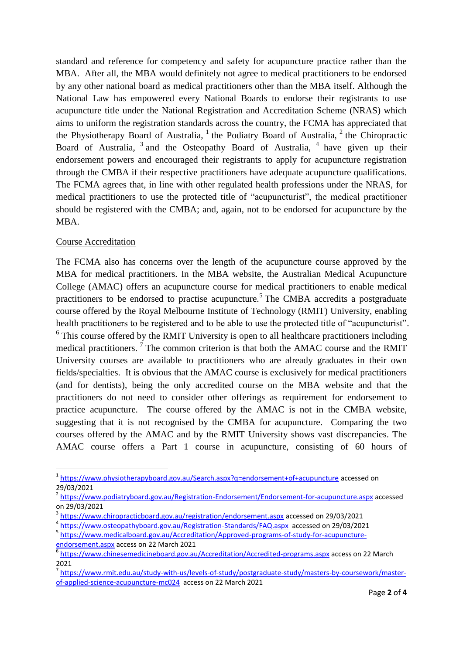standard and reference for competency and safety for acupuncture practice rather than the MBA. After all, the MBA would definitely not agree to medical practitioners to be endorsed by any other national board as medical practitioners other than the MBA itself. Although the National Law has empowered every National Boards to endorse their registrants to use acupuncture title under the National Registration and Accreditation Scheme (NRAS) which aims to uniform the registration standards across the country, the FCMA has appreciated that the Physiotherapy Board of Australia,  $1$  the Podiatry Board of Australia,  $2$  the Chiropractic Board of Australia, <sup>3</sup> and the Osteopathy Board of Australia, <sup>4</sup> have given up their endorsement powers and encouraged their registrants to apply for acupuncture registration through the CMBA if their respective practitioners have adequate acupuncture qualifications. The FCMA agrees that, in line with other regulated health professions under the NRAS, for medical practitioners to use the protected title of "acupuncturist", the medical practitioner should be registered with the CMBA; and, again, not to be endorsed for acupuncture by the MBA.

# Course Accreditation

The FCMA also has concerns over the length of the acupuncture course approved by the MBA for medical practitioners. In the MBA website, the Australian Medical Acupuncture College (AMAC) offers an acupuncture course for medical practitioners to enable medical practitioners to be endorsed to practise acupuncture.<sup>5</sup> The CMBA accredits a postgraduate course offered by the Royal Melbourne Institute of Technology (RMIT) University, enabling health practitioners to be registered and to be able to use the protected title of "acupuncturist".  $6$  This course offered by the RMIT University is open to all healthcare practitioners including medical practitioners.<sup>7</sup> The common criterion is that both the AMAC course and the RMIT University courses are available to practitioners who are already graduates in their own fields/specialties. It is obvious that the AMAC course is exclusively for medical practitioners (and for dentists), being the only accredited course on the MBA website and that the practitioners do not need to consider other offerings as requirement for endorsement to practice acupuncture. The course offered by the AMAC is not in the CMBA website, suggesting that it is not recognised by the CMBA for acupuncture. Comparing the two courses offered by the AMAC and by the RMIT University shows vast discrepancies. The AMAC course offers a Part 1 course in acupuncture, consisting of 60 hours of

<sup>4</sup> https://www.osteopathyboard.gov.au/Registration-Standards/FAQ.aspx accessed on 29/03/2021

<sup>1</sup> <sup>1</sup> https://www.physiotherapyboard.gov.au/Search.aspx?q=endorsement+of+acupuncture accessed on 29/03/2021

<sup>&</sup>lt;sup>2</sup> https://www.podiatryboard.gov.au/Registration-Endorsement/Endorsement-for-acupuncture.aspx accessed on 29/03/2021

<sup>&</sup>lt;sup>3</sup> https://www.chiropracticboard.gov.au/registration/endorsement.aspx accessed on 29/03/2021

<sup>5</sup> https://www.medicalboard.gov.au/Accreditation/Approved-programs-of-study-for-acupunctureendorsement.aspx access on 22 March 2021

<sup>&</sup>lt;sup>6</sup> https://www.chinesemedicineboard.gov.au/Accreditation/Accredited-programs.aspx</u> access on 22 March  $2021$ 

<sup>&</sup>lt;sup>7</sup> https://www.rmit.edu.au/study-with-us/levels-of-study/postgraduate-study/masters-by-coursework/masterof-applied-science-acupuncture-mc024 access on 22 March 2021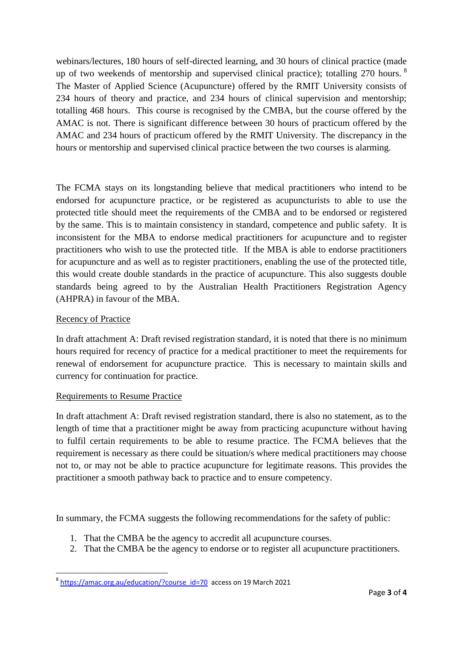webinars/lectures, 180 hours of self-directed learning, and 30 hours of clinical practice (made up of two weekends of mentorship and supervised clinical practice); totalling 270 hours. <sup>8</sup> The Master of Applied Science (Acupuncture) offered by the RMIT University consists of 234 hours of theory and practice, and 234 hours of clinical supervision and mentorship; totalling 468 hours. This course is recognised by the CMBA, but the course offered by the AMAC is not. There is significant difference between 30 hours of practicum offered by the AMAC and 234 hours of practicum offered by the RMIT University. The discrepancy in the hours or mentorship and supervised clinical practice between the two courses is alarming.

The FCMA stays on its longstanding believe that medical practitioners who intend to be endorsed for acupuncture practice, or be registered as acupuncturists to able to use the protected title should meet the requirements of the CMBA and to be endorsed or registered by the same. This is to maintain consistency in standard, competence and public safety. It is inconsistent for the MBA to endorse medical practitioners for acupuncture and to register practitioners who wish to use the protected title. If the MBA is able to endorse practitioners for acupuncture and as well as to register practitioners, enabling the use of the protected title, this would create double standards in the practice of acupuncture. This also suggests double standards being agreed to by the Australian Health Practitioners Registration Agency (AHPRA) in favour of the MBA.

# Recency of Practice

**.** 

In draft attachment A: Draft revised registration standard, it is noted that there is no minimum hours required for recency of practice for a medical practitioner to meet the requirements for renewal of endorsement for acupuncture practice. This is necessary to maintain skills and currency for continuation for practice.

### Requirements to Resume Practice

In draft attachment A: Draft revised registration standard, there is also no statement, as to the length of time that a practitioner might be away from practicing acupuncture without having to fulfil certain requirements to be able to resume practice. The FCMA believes that the requirement is necessary as there could be situation/s where medical practitioners may choose not to, or may not be able to practice acupuncture for legitimate reasons. This provides the practitioner a smooth pathway back to practice and to ensure competency.

In summary, the FCMA suggests the following recommendations for the safety of public:

- 1. That the CMBA be the agency to accredit all acupuncture courses.
- 2. That the CMBA be the agency to endorse or to register all acupuncture practitioners.

<sup>&</sup>lt;sup>8</sup> https://amac.org.au/education/?course id=70 access on 19 March 2021